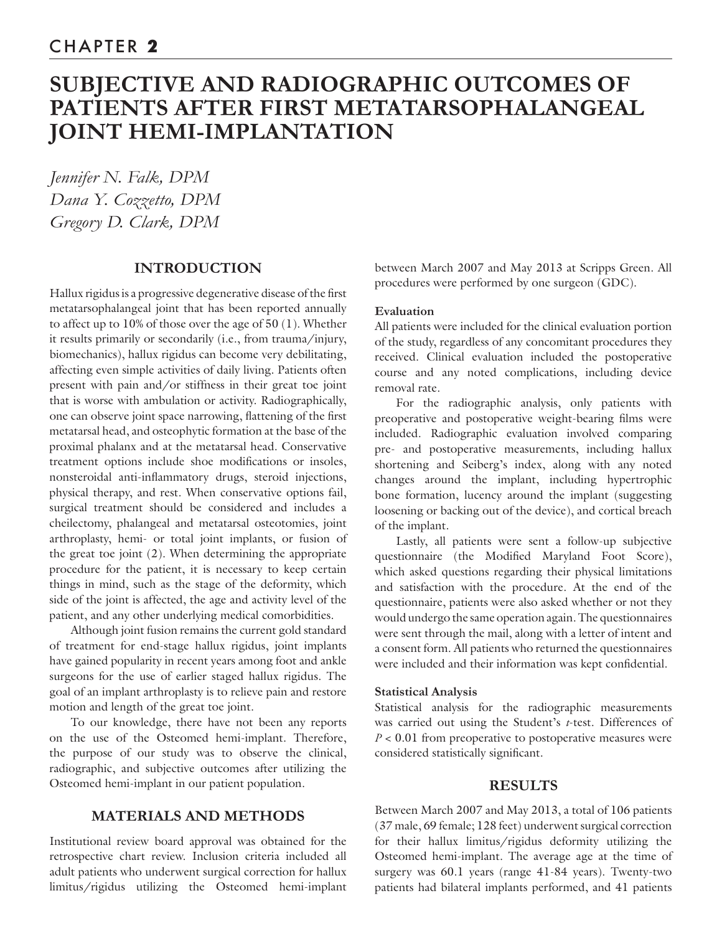# **SUBJECTIVE AND RADIOGRAPHIC OUTCOMES OF PATIENTS AFTER FIRST METATARSOPHALANGEAL JOINT HEMI-IMPLANTATION**

*Jennifer N. Falk, DPM Dana Y. Cozzetto, DPM Gregory D. Clark, DPM*

# **INTRODUCTION**

Hallux rigidus is a progressive degenerative disease of the first metatarsophalangeal joint that has been reported annually to affect up to 10% of those over the age of 50 (1). Whether it results primarily or secondarily (i.e., from trauma/injury, biomechanics), hallux rigidus can become very debilitating, affecting even simple activities of daily living. Patients often present with pain and/or stiffness in their great toe joint that is worse with ambulation or activity. Radiographically, one can observe joint space narrowing, flattening of the first metatarsal head, and osteophytic formation at the base of the proximal phalanx and at the metatarsal head. Conservative treatment options include shoe modifications or insoles, nonsteroidal anti-inflammatory drugs, steroid injections, physical therapy, and rest. When conservative options fail, surgical treatment should be considered and includes a cheilectomy, phalangeal and metatarsal osteotomies, joint arthroplasty, hemi- or total joint implants, or fusion of the great toe joint (2). When determining the appropriate procedure for the patient, it is necessary to keep certain things in mind, such as the stage of the deformity, which side of the joint is affected, the age and activity level of the patient, and any other underlying medical comorbidities.

Although joint fusion remains the current gold standard of treatment for end-stage hallux rigidus, joint implants have gained popularity in recent years among foot and ankle surgeons for the use of earlier staged hallux rigidus. The goal of an implant arthroplasty is to relieve pain and restore motion and length of the great toe joint.

To our knowledge, there have not been any reports on the use of the Osteomed hemi-implant. Therefore, the purpose of our study was to observe the clinical, radiographic, and subjective outcomes after utilizing the Osteomed hemi-implant in our patient population.

# **MATERIALS AND METHODS**

Institutional review board approval was obtained for the retrospective chart review. Inclusion criteria included all adult patients who underwent surgical correction for hallux limitus/rigidus utilizing the Osteomed hemi-implant

between March 2007 and May 2013 at Scripps Green. All procedures were performed by one surgeon (GDC).

## **Evaluation**

All patients were included for the clinical evaluation portion of the study, regardless of any concomitant procedures they received. Clinical evaluation included the postoperative course and any noted complications, including device removal rate.

For the radiographic analysis, only patients with preoperative and postoperative weight-bearing films were included. Radiographic evaluation involved comparing pre- and postoperative measurements, including hallux shortening and Seiberg's index, along with any noted changes around the implant, including hypertrophic bone formation, lucency around the implant (suggesting loosening or backing out of the device), and cortical breach of the implant.

Lastly, all patients were sent a follow-up subjective questionnaire (the Modified Maryland Foot Score), which asked questions regarding their physical limitations and satisfaction with the procedure. At the end of the questionnaire, patients were also asked whether or not they would undergo the same operation again. The questionnaires were sent through the mail, along with a letter of intent and a consent form. All patients who returned the questionnaires were included and their information was kept confidential.

### **Statistical Analysis**

Statistical analysis for the radiographic measurements was carried out using the Student's *t*-test. Differences of *P* < 0.01 from preoperative to postoperative measures were considered statistically significant.

## **RESULTS**

Between March 2007 and May 2013, a total of 106 patients (37 male, 69 female; 128 feet) underwent surgical correction for their hallux limitus/rigidus deformity utilizing the Osteomed hemi-implant. The average age at the time of surgery was 60.1 years (range 41-84 years). Twenty-two patients had bilateral implants performed, and 41 patients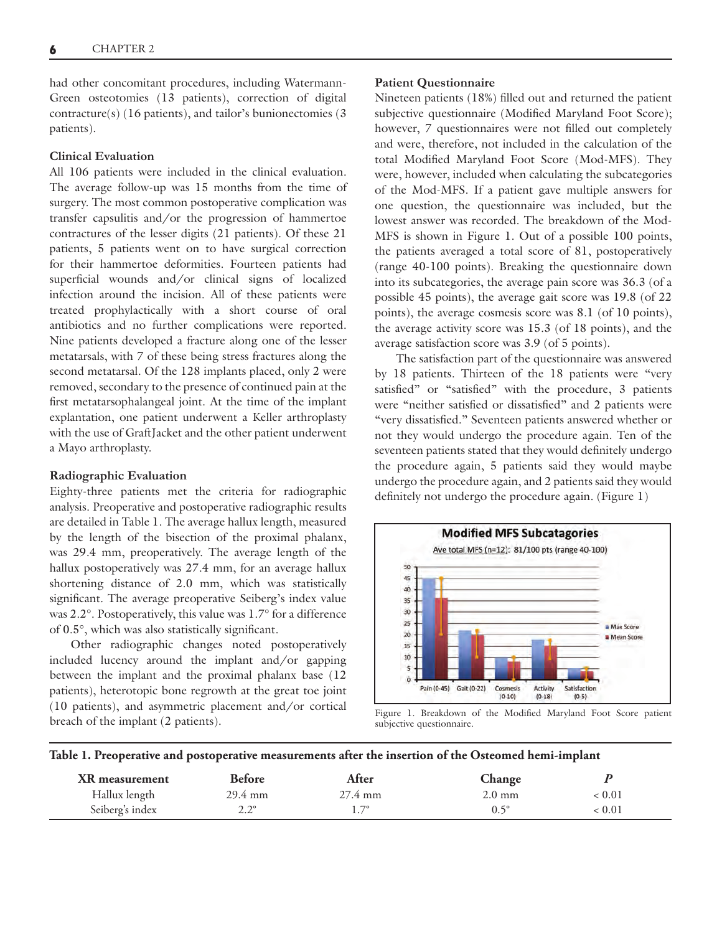had other concomitant procedures, including Watermann-Green osteotomies (13 patients), correction of digital contracture(s) (16 patients), and tailor's bunionectomies (3 patients).

### **Clinical Evaluation**

All 106 patients were included in the clinical evaluation. The average follow-up was 15 months from the time of surgery. The most common postoperative complication was transfer capsulitis and/or the progression of hammertoe contractures of the lesser digits (21 patients). Of these 21 patients, 5 patients went on to have surgical correction for their hammertoe deformities. Fourteen patients had superficial wounds and/or clinical signs of localized infection around the incision. All of these patients were treated prophylactically with a short course of oral antibiotics and no further complications were reported. Nine patients developed a fracture along one of the lesser metatarsals, with 7 of these being stress fractures along the second metatarsal. Of the 128 implants placed, only 2 were removed, secondary to the presence of continued pain at the first metatarsophalangeal joint. At the time of the implant explantation, one patient underwent a Keller arthroplasty with the use of GraftJacket and the other patient underwent a Mayo arthroplasty.

#### **Radiographic Evaluation**

Eighty-three patients met the criteria for radiographic analysis. Preoperative and postoperative radiographic results are detailed in Table 1. The average hallux length, measured by the length of the bisection of the proximal phalanx, was 29.4 mm, preoperatively. The average length of the hallux postoperatively was 27.4 mm, for an average hallux shortening distance of 2.0 mm, which was statistically significant. The average preoperative Seiberg's index value was 2.2°. Postoperatively, this value was 1.7° for a difference of  $0.5^{\circ}$ , which was also statistically significant.

Other radiographic changes noted postoperatively included lucency around the implant and/or gapping between the implant and the proximal phalanx base (12 patients), heterotopic bone regrowth at the great toe joint (10 patients), and asymmetric placement and/or cortical breach of the implant (2 patients).

#### **Patient Questionnaire**

Nineteen patients (18%) filled out and returned the patient subjective questionnaire (Modified Maryland Foot Score); however, 7 questionnaires were not filled out completely and were, therefore, not included in the calculation of the total Modified Maryland Foot Score (Mod-MFS). They were, however, included when calculating the subcategories of the Mod-MFS. If a patient gave multiple answers for one question, the questionnaire was included, but the lowest answer was recorded. The breakdown of the Mod-MFS is shown in Figure 1. Out of a possible 100 points, the patients averaged a total score of 81, postoperatively (range 40-100 points). Breaking the questionnaire down into its subcategories, the average pain score was 36.3 (of a possible 45 points), the average gait score was 19.8 (of 22 points), the average cosmesis score was 8.1 (of 10 points), the average activity score was 15.3 (of 18 points), and the average satisfaction score was 3.9 (of 5 points).

The satisfaction part of the questionnaire was answered by 18 patients. Thirteen of the 18 patients were "very satisfied" or "satisfied" with the procedure, 3 patients were "neither satisfied or dissatisfied" and 2 patients were "very dissatisfied." Seventeen patients answered whether or not they would undergo the procedure again. Ten of the seventeen patients stated that they would definitely undergo the procedure again, 5 patients said they would maybe undergo the procedure again, and 2 patients said they would definitely not undergo the procedure again. (Figure 1)



Figure 1. Breakdown of the Modified Maryland Foot Score patient subjective questionnaire.

#### **Table 1. Preoperative and postoperative measurements after the insertion of the Osteomed hemi-implant**

| XR measurement  | <b>Before</b>     | After             | Change           |        |  |
|-----------------|-------------------|-------------------|------------------|--------|--|
| Hallux length   | $29.4 \text{ mm}$ | $27.4 \text{ mm}$ | $2.0 \text{ mm}$ | < 0.01 |  |
| Seiberg's index | າາ                | $1.7^\circ$       | $0.5^\circ$      | 0.01 > |  |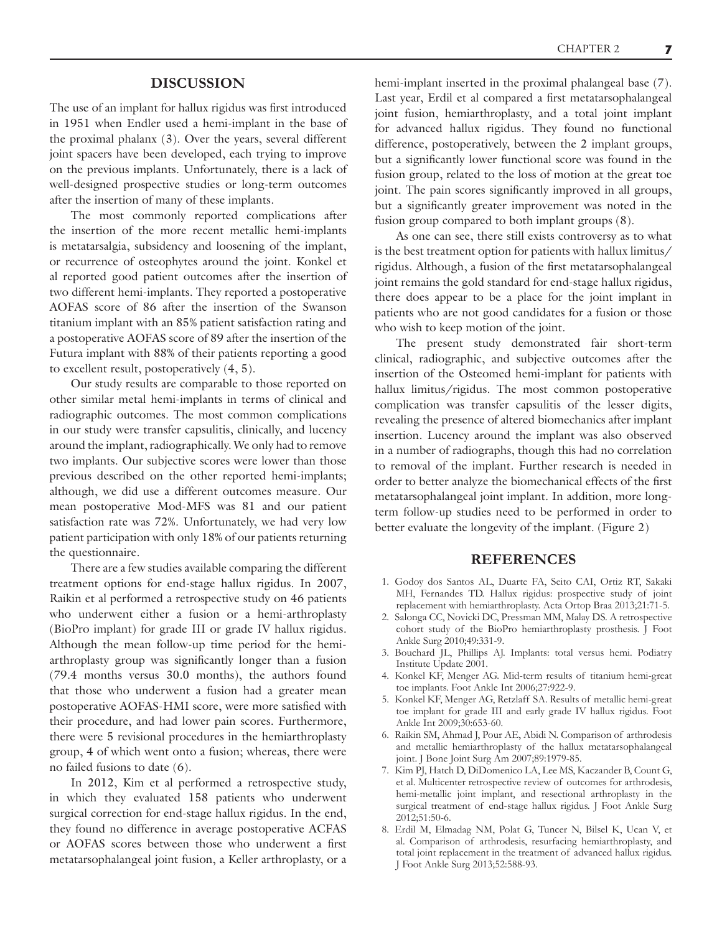## **DISCUSSION**

The use of an implant for hallux rigidus was first introduced in 1951 when Endler used a hemi-implant in the base of the proximal phalanx (3). Over the years, several different joint spacers have been developed, each trying to improve on the previous implants. Unfortunately, there is a lack of well-designed prospective studies or long-term outcomes after the insertion of many of these implants.

The most commonly reported complications after the insertion of the more recent metallic hemi-implants is metatarsalgia, subsidency and loosening of the implant, or recurrence of osteophytes around the joint. Konkel et al reported good patient outcomes after the insertion of two different hemi-implants. They reported a postoperative AOFAS score of 86 after the insertion of the Swanson titanium implant with an 85% patient satisfaction rating and a postoperative AOFAS score of 89 after the insertion of the Futura implant with 88% of their patients reporting a good to excellent result, postoperatively (4, 5).

Our study results are comparable to those reported on other similar metal hemi-implants in terms of clinical and radiographic outcomes. The most common complications in our study were transfer capsulitis, clinically, and lucency around the implant, radiographically. We only had to remove two implants. Our subjective scores were lower than those previous described on the other reported hemi-implants; although, we did use a different outcomes measure. Our mean postoperative Mod-MFS was 81 and our patient satisfaction rate was 72%. Unfortunately, we had very low patient participation with only 18% of our patients returning the questionnaire.

There are a few studies available comparing the different treatment options for end-stage hallux rigidus. In 2007, Raikin et al performed a retrospective study on 46 patients who underwent either a fusion or a hemi-arthroplasty (BioPro implant) for grade III or grade IV hallux rigidus. Although the mean follow-up time period for the hemiarthroplasty group was significantly longer than a fusion (79.4 months versus 30.0 months), the authors found that those who underwent a fusion had a greater mean postoperative AOFAS-HMI score, were more satisfied with their procedure, and had lower pain scores. Furthermore, there were 5 revisional procedures in the hemiarthroplasty group, 4 of which went onto a fusion; whereas, there were no failed fusions to date (6).

In 2012, Kim et al performed a retrospective study, in which they evaluated 158 patients who underwent surgical correction for end-stage hallux rigidus. In the end, they found no difference in average postoperative ACFAS or AOFAS scores between those who underwent a first metatarsophalangeal joint fusion, a Keller arthroplasty, or a

hemi-implant inserted in the proximal phalangeal base (7). Last year, Erdil et al compared a first metatarsophalangeal joint fusion, hemiarthroplasty, and a total joint implant for advanced hallux rigidus. They found no functional difference, postoperatively, between the 2 implant groups, but a significantly lower functional score was found in the fusion group, related to the loss of motion at the great toe joint. The pain scores significantly improved in all groups, but a significantly greater improvement was noted in the fusion group compared to both implant groups (8).

As one can see, there still exists controversy as to what is the best treatment option for patients with hallux limitus/ rigidus. Although, a fusion of the first metatarsophalangeal joint remains the gold standard for end-stage hallux rigidus, there does appear to be a place for the joint implant in patients who are not good candidates for a fusion or those who wish to keep motion of the joint.

The present study demonstrated fair short-term clinical, radiographic, and subjective outcomes after the insertion of the Osteomed hemi-implant for patients with hallux limitus/rigidus. The most common postoperative complication was transfer capsulitis of the lesser digits, revealing the presence of altered biomechanics after implant insertion. Lucency around the implant was also observed in a number of radiographs, though this had no correlation to removal of the implant. Further research is needed in order to better analyze the biomechanical effects of the first metatarsophalangeal joint implant. In addition, more longterm follow-up studies need to be performed in order to better evaluate the longevity of the implant. (Figure 2)

### **REFERENCES**

- 1. Godoy dos Santos AL, Duarte FA, Seito CAI, Ortiz RT, Sakaki MH, Fernandes TD. Hallux rigidus: prospective study of joint replacement with hemiarthroplasty. Acta Ortop Braa 2013;21:71-5.
- 2. Salonga CC, Novicki DC, Pressman MM, Malay DS. A retrospective cohort study of the BioPro hemiarthroplasty prosthesis. J Foot Ankle Surg 2010;49:331-9.
- 3. Bouchard JL, Phillips AJ. Implants: total versus hemi. Podiatry Institute Update 2001.
- 4. Konkel KF, Menger AG. Mid-term results of titanium hemi-great toe implants. Foot Ankle Int 2006;27:922-9.
- 5. Konkel KF, Menger AG, Retzlaff SA. Results of metallic hemi-great toe implant for grade III and early grade IV hallux rigidus. Foot Ankle Int 2009;30:653-60.
- 6. Raikin SM, Ahmad J, Pour AE, Abidi N. Comparison of arthrodesis and metallic hemiarthroplasty of the hallux metatarsophalangeal joint. J Bone Joint Surg Am 2007;89:1979-85.
- 7. Kim PJ, Hatch D, DiDomenico LA, Lee MS, Kaczander B, Count G, et al. Multicenter retrospective review of outcomes for arthrodesis, hemi-metallic joint implant, and resectional arthroplasty in the surgical treatment of end-stage hallux rigidus. J Foot Ankle Surg 2012;51:50-6.
- 8. Erdil M, Elmadag NM, Polat G, Tuncer N, Bilsel K, Ucan V, et al. Comparison of arthrodesis, resurfacing hemiarthroplasty, and total joint replacement in the treatment of advanced hallux rigidus. J Foot Ankle Surg 2013;52:588-93.